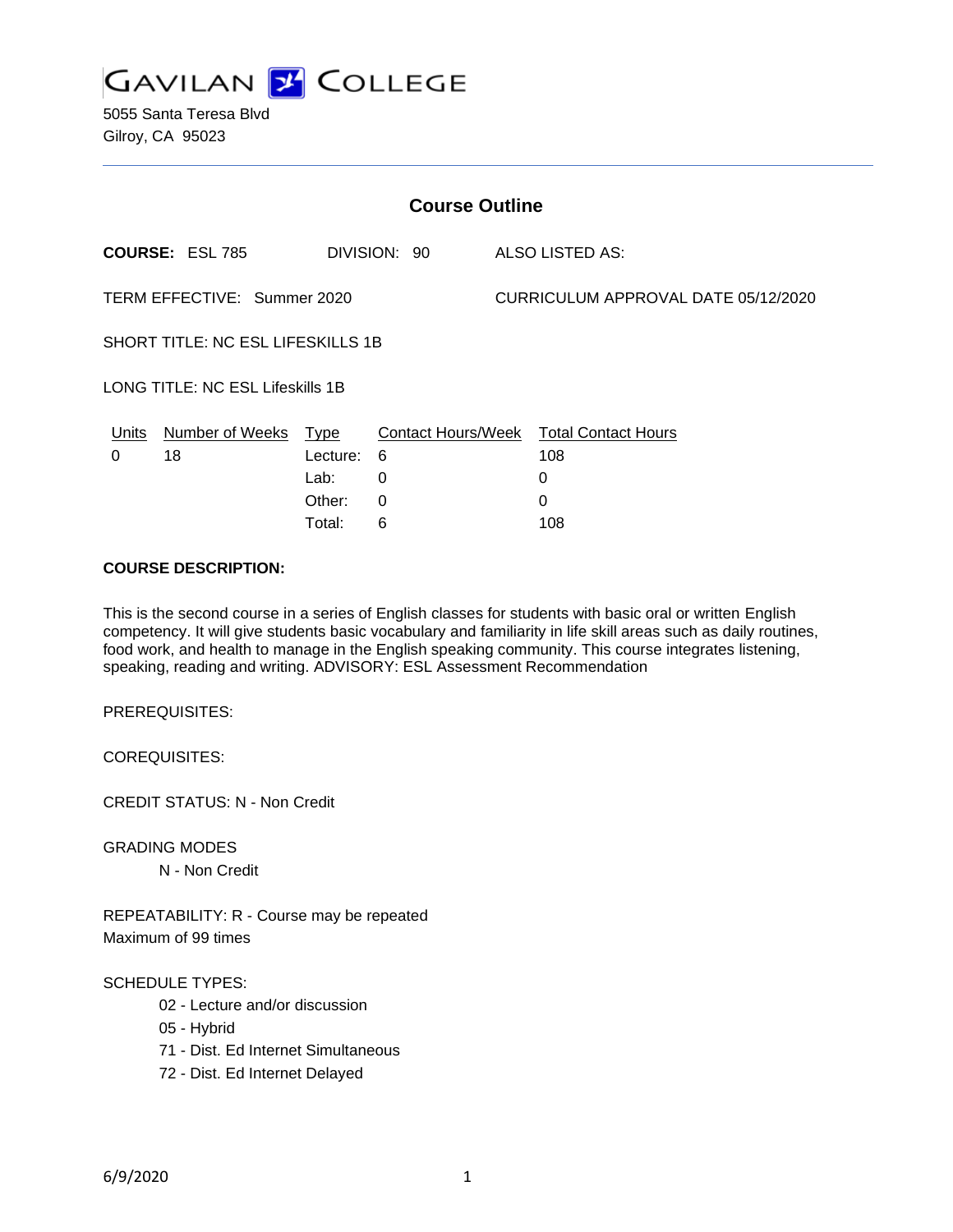

| <b>Course Outline</b>                   |                        |          |              |                                     |                                        |
|-----------------------------------------|------------------------|----------|--------------|-------------------------------------|----------------------------------------|
|                                         | <b>COURSE: ESL 785</b> |          | DIVISION: 90 |                                     | ALSO LISTED AS:                        |
| TERM EFFECTIVE: Summer 2020             |                        |          |              | CURRICULUM APPROVAL DATE 05/12/2020 |                                        |
| SHORT TITLE: NC ESL LIFESKILLS 1B       |                        |          |              |                                     |                                        |
| <b>LONG TITLE: NC ESL Lifeskills 1B</b> |                        |          |              |                                     |                                        |
| Units                                   | Number of Weeks        | Type     |              |                                     | Contact Hours/Week Total Contact Hours |
| 0                                       | 18                     | Lecture: | 6            |                                     | 108                                    |
|                                         |                        | Lab:     | 0            |                                     | 0                                      |
|                                         |                        | Other:   | 0            |                                     | $\Omega$                               |
|                                         |                        | Total:   | 6            |                                     | 108                                    |

#### **COURSE DESCRIPTION:**

This is the second course in a series of English classes for students with basic oral or written English competency. It will give students basic vocabulary and familiarity in life skill areas such as daily routines, food work, and health to manage in the English speaking community. This course integrates listening, speaking, reading and writing. ADVISORY: ESL Assessment Recommendation

PREREQUISITES:

COREQUISITES:

CREDIT STATUS: N - Non Credit

GRADING MODES

N - Non Credit

REPEATABILITY: R - Course may be repeated Maximum of 99 times

#### SCHEDULE TYPES:

- 02 Lecture and/or discussion
- 05 Hybrid
- 71 Dist. Ed Internet Simultaneous
- 72 Dist. Ed Internet Delayed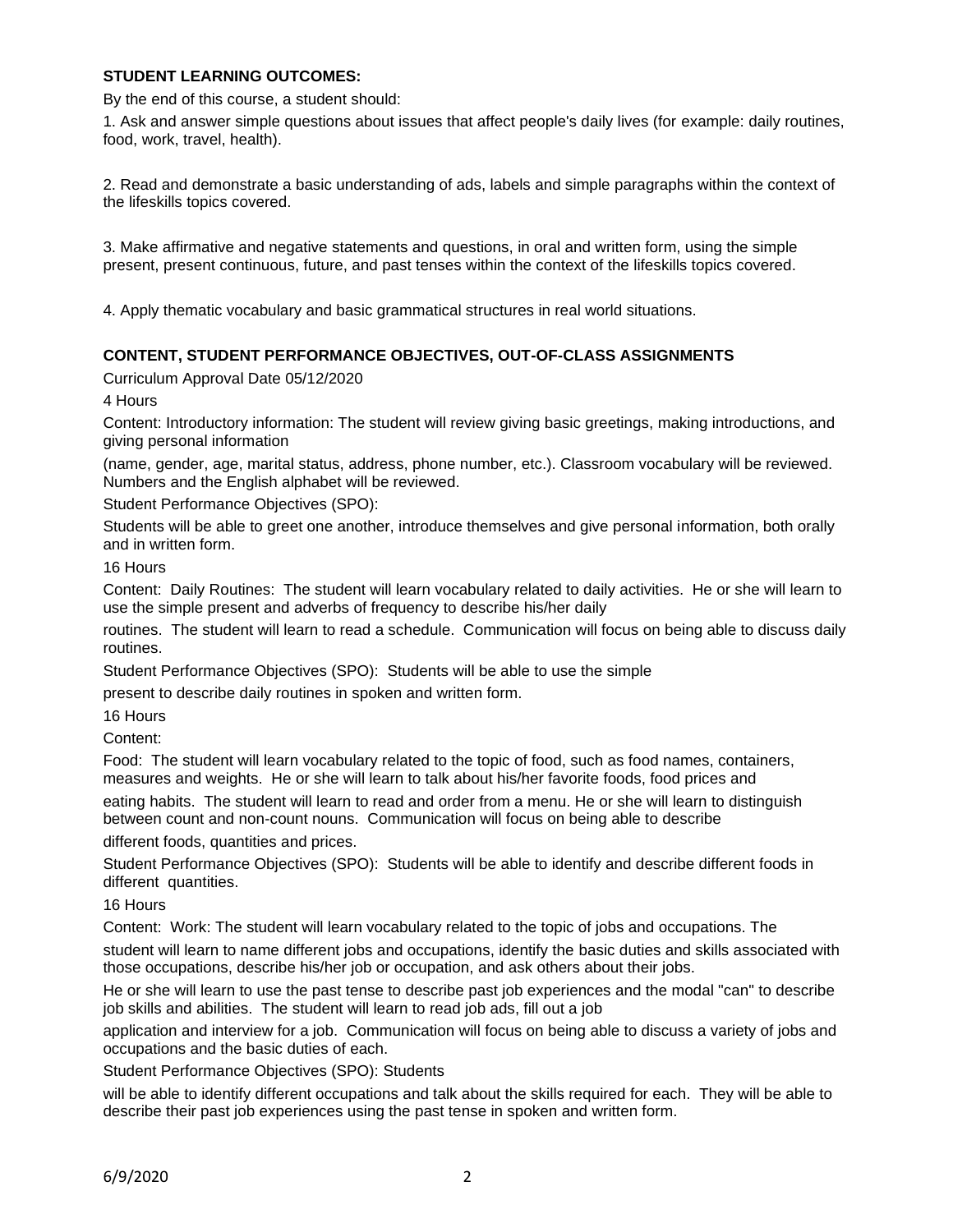## **STUDENT LEARNING OUTCOMES:**

By the end of this course, a student should:

1. Ask and answer simple questions about issues that affect people's daily lives (for example: daily routines, food, work, travel, health).

2. Read and demonstrate a basic understanding of ads, labels and simple paragraphs within the context of the lifeskills topics covered.

3. Make affirmative and negative statements and questions, in oral and written form, using the simple present, present continuous, future, and past tenses within the context of the lifeskills topics covered.

4. Apply thematic vocabulary and basic grammatical structures in real world situations.

## **CONTENT, STUDENT PERFORMANCE OBJECTIVES, OUT-OF-CLASS ASSIGNMENTS**

Curriculum Approval Date 05/12/2020

4 Hours

Content: Introductory information: The student will review giving basic greetings, making introductions, and giving personal information

(name, gender, age, marital status, address, phone number, etc.). Classroom vocabulary will be reviewed. Numbers and the English alphabet will be reviewed.

Student Performance Objectives (SPO):

Students will be able to greet one another, introduce themselves and give personal information, both orally and in written form.

16 Hours

Content: Daily Routines: The student will learn vocabulary related to daily activities. He or she will learn to use the simple present and adverbs of frequency to describe his/her daily

routines. The student will learn to read a schedule. Communication will focus on being able to discuss daily routines.

Student Performance Objectives (SPO): Students will be able to use the simple

present to describe daily routines in spoken and written form.

16 Hours

Content:

Food: The student will learn vocabulary related to the topic of food, such as food names, containers, measures and weights. He or she will learn to talk about his/her favorite foods, food prices and eating habits. The student will learn to read and order from a menu. He or she will learn to distinguish

between count and non-count nouns. Communication will focus on being able to describe different foods, quantities and prices.

Student Performance Objectives (SPO): Students will be able to identify and describe different foods in different quantities.

16 Hours

Content: Work: The student will learn vocabulary related to the topic of jobs and occupations. The

student will learn to name different jobs and occupations, identify the basic duties and skills associated with those occupations, describe his/her job or occupation, and ask others about their jobs.

He or she will learn to use the past tense to describe past job experiences and the modal "can" to describe job skills and abilities. The student will learn to read job ads, fill out a job

application and interview for a job. Communication will focus on being able to discuss a variety of jobs and occupations and the basic duties of each.

Student Performance Objectives (SPO): Students

will be able to identify different occupations and talk about the skills required for each. They will be able to describe their past job experiences using the past tense in spoken and written form.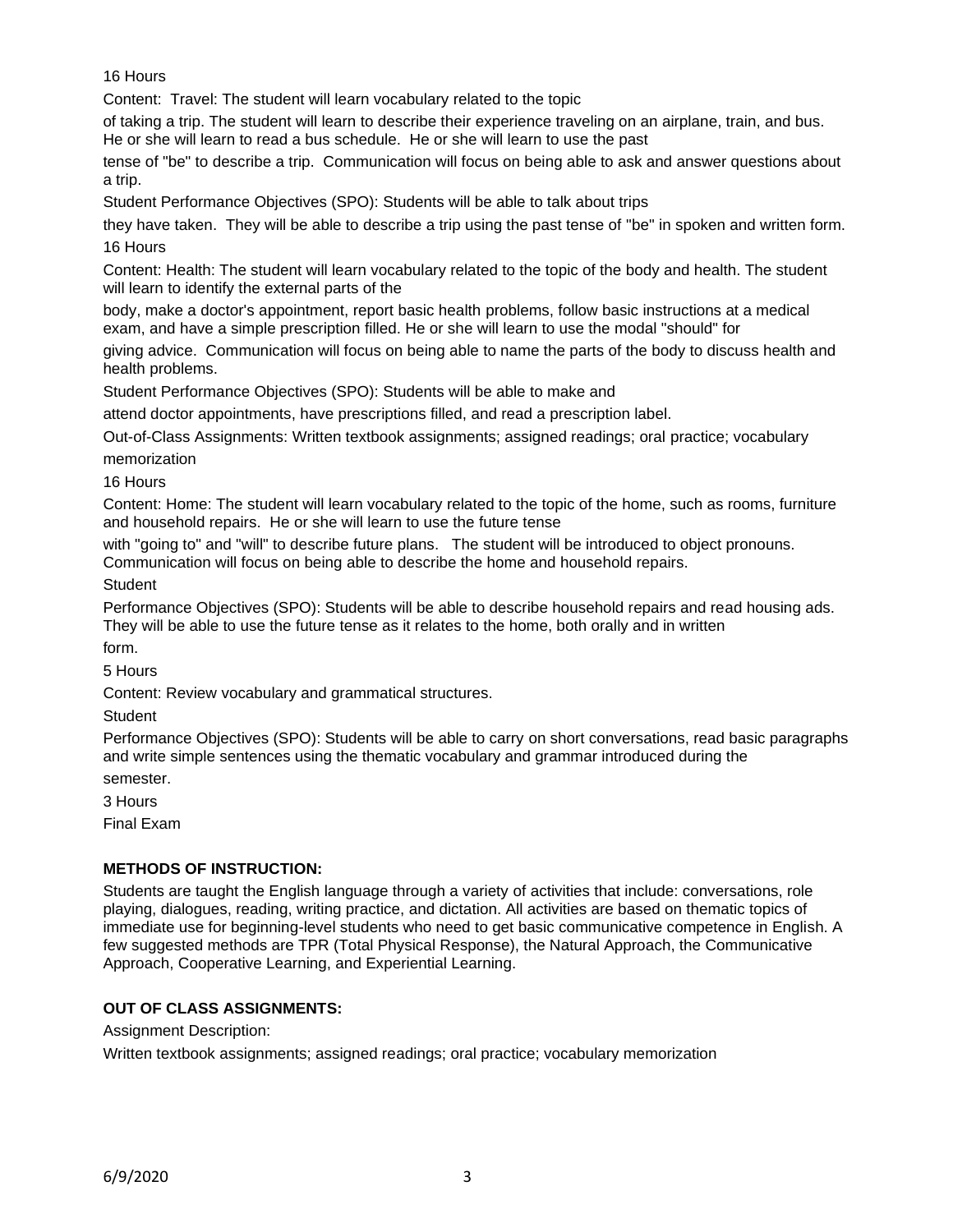16 Hours

Content: Travel: The student will learn vocabulary related to the topic

of taking a trip. The student will learn to describe their experience traveling on an airplane, train, and bus. He or she will learn to read a bus schedule. He or she will learn to use the past

tense of "be" to describe a trip. Communication will focus on being able to ask and answer questions about a trip.

Student Performance Objectives (SPO): Students will be able to talk about trips

they have taken. They will be able to describe a trip using the past tense of "be" in spoken and written form. 16 Hours

Content: Health: The student will learn vocabulary related to the topic of the body and health. The student will learn to identify the external parts of the

body, make a doctor's appointment, report basic health problems, follow basic instructions at a medical exam, and have a simple prescription filled. He or she will learn to use the modal "should" for

giving advice. Communication will focus on being able to name the parts of the body to discuss health and health problems.

Student Performance Objectives (SPO): Students will be able to make and

attend doctor appointments, have prescriptions filled, and read a prescription label.

Out-of-Class Assignments: Written textbook assignments; assigned readings; oral practice; vocabulary memorization

16 Hours

Content: Home: The student will learn vocabulary related to the topic of the home, such as rooms, furniture and household repairs. He or she will learn to use the future tense

with "going to" and "will" to describe future plans. The student will be introduced to object pronouns. Communication will focus on being able to describe the home and household repairs.

**Student** 

Performance Objectives (SPO): Students will be able to describe household repairs and read housing ads. They will be able to use the future tense as it relates to the home, both orally and in written

form.

5 Hours

Content: Review vocabulary and grammatical structures.

**Student** 

Performance Objectives (SPO): Students will be able to carry on short conversations, read basic paragraphs and write simple sentences using the thematic vocabulary and grammar introduced during the semester.

3 Hours

Final Exam

# **METHODS OF INSTRUCTION:**

Students are taught the English language through a variety of activities that include: conversations, role playing, dialogues, reading, writing practice, and dictation. All activities are based on thematic topics of immediate use for beginning-level students who need to get basic communicative competence in English. A few suggested methods are TPR (Total Physical Response), the Natural Approach, the Communicative Approach, Cooperative Learning, and Experiential Learning.

## **OUT OF CLASS ASSIGNMENTS:**

Assignment Description:

Written textbook assignments; assigned readings; oral practice; vocabulary memorization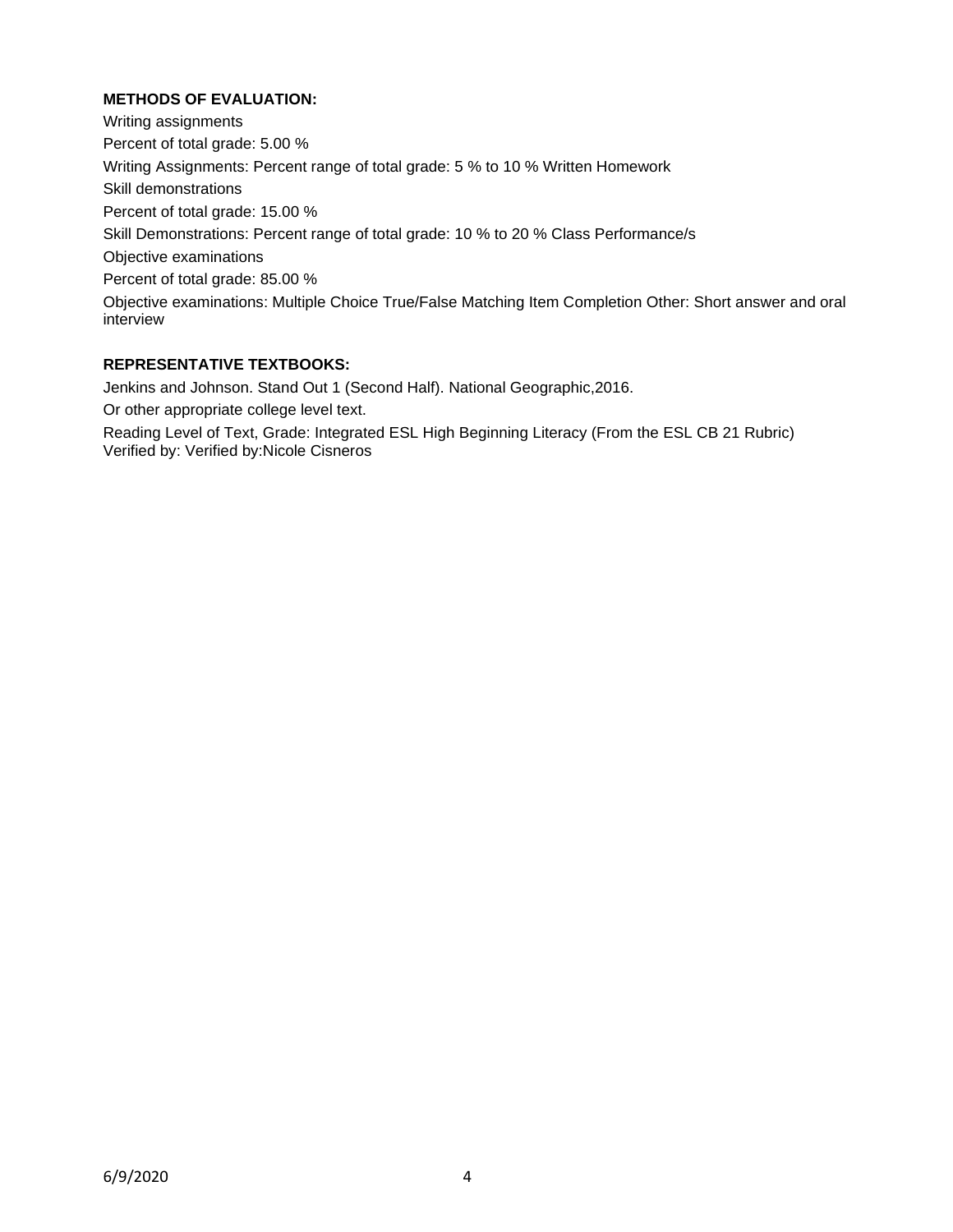# **METHODS OF EVALUATION:**

Writing assignments Percent of total grade: 5.00 % Writing Assignments: Percent range of total grade: 5 % to 10 % Written Homework Skill demonstrations Percent of total grade: 15.00 % Skill Demonstrations: Percent range of total grade: 10 % to 20 % Class Performance/s Objective examinations Percent of total grade: 85.00 % Objective examinations: Multiple Choice True/False Matching Item Completion Other: Short answer and oral interview

#### **REPRESENTATIVE TEXTBOOKS:**

Jenkins and Johnson. Stand Out 1 (Second Half). National Geographic,2016.

Or other appropriate college level text.

Reading Level of Text, Grade: Integrated ESL High Beginning Literacy (From the ESL CB 21 Rubric) Verified by: Verified by:Nicole Cisneros